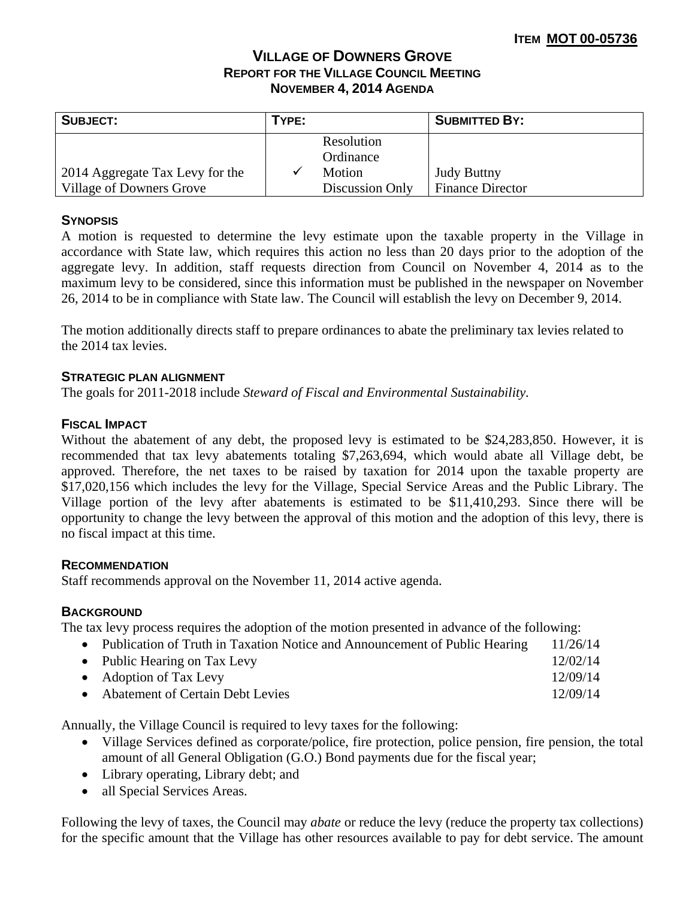# **VILLAGE OF DOWNERS GROVE REPORT FOR THE VILLAGE COUNCIL MEETING NOVEMBER 4, 2014 AGENDA**

| <b>SUBJECT:</b>                 | TYPE: |                         | <b>SUBMITTED BY:</b>    |
|---------------------------------|-------|-------------------------|-------------------------|
|                                 |       | Resolution<br>Ordinance |                         |
| 2014 Aggregate Tax Levy for the |       | Motion                  | <b>Judy Buttny</b>      |
| Village of Downers Grove        |       | Discussion Only         | <b>Finance Director</b> |

## **SYNOPSIS**

A motion is requested to determine the levy estimate upon the taxable property in the Village in accordance with State law, which requires this action no less than 20 days prior to the adoption of the aggregate levy. In addition, staff requests direction from Council on November 4, 2014 as to the maximum levy to be considered, since this information must be published in the newspaper on November 26, 2014 to be in compliance with State law. The Council will establish the levy on December 9, 2014.

The motion additionally directs staff to prepare ordinances to abate the preliminary tax levies related to the 2014 tax levies.

#### **STRATEGIC PLAN ALIGNMENT**

The goals for 2011-2018 include *Steward of Fiscal and Environmental Sustainability.* 

### **FISCAL IMPACT**

Without the abatement of any debt, the proposed levy is estimated to be \$24,283,850. However, it is recommended that tax levy abatements totaling \$7,263,694, which would abate all Village debt, be approved. Therefore, the net taxes to be raised by taxation for 2014 upon the taxable property are \$17,020,156 which includes the levy for the Village, Special Service Areas and the Public Library. The Village portion of the levy after abatements is estimated to be \$11,410,293. Since there will be opportunity to change the levy between the approval of this motion and the adoption of this levy, there is no fiscal impact at this time.

#### **RECOMMENDATION**

Staff recommends approval on the November 11, 2014 active agenda.

## **BACKGROUND**

The tax levy process requires the adoption of the motion presented in advance of the following:

- Publication of Truth in Taxation Notice and Announcement of Public Hearing 11/26/14 • Public Hearing on Tax Levy 12/02/14 • Adoption of Tax Levy 12/09/14
- Abatement of Certain Debt Levies 12/09/14

Annually, the Village Council is required to levy taxes for the following:

- Village Services defined as corporate/police, fire protection, police pension, fire pension, the total amount of all General Obligation (G.O.) Bond payments due for the fiscal year;
- Library operating, Library debt; and
- all Special Services Areas.

Following the levy of taxes, the Council may *abate* or reduce the levy (reduce the property tax collections) for the specific amount that the Village has other resources available to pay for debt service. The amount